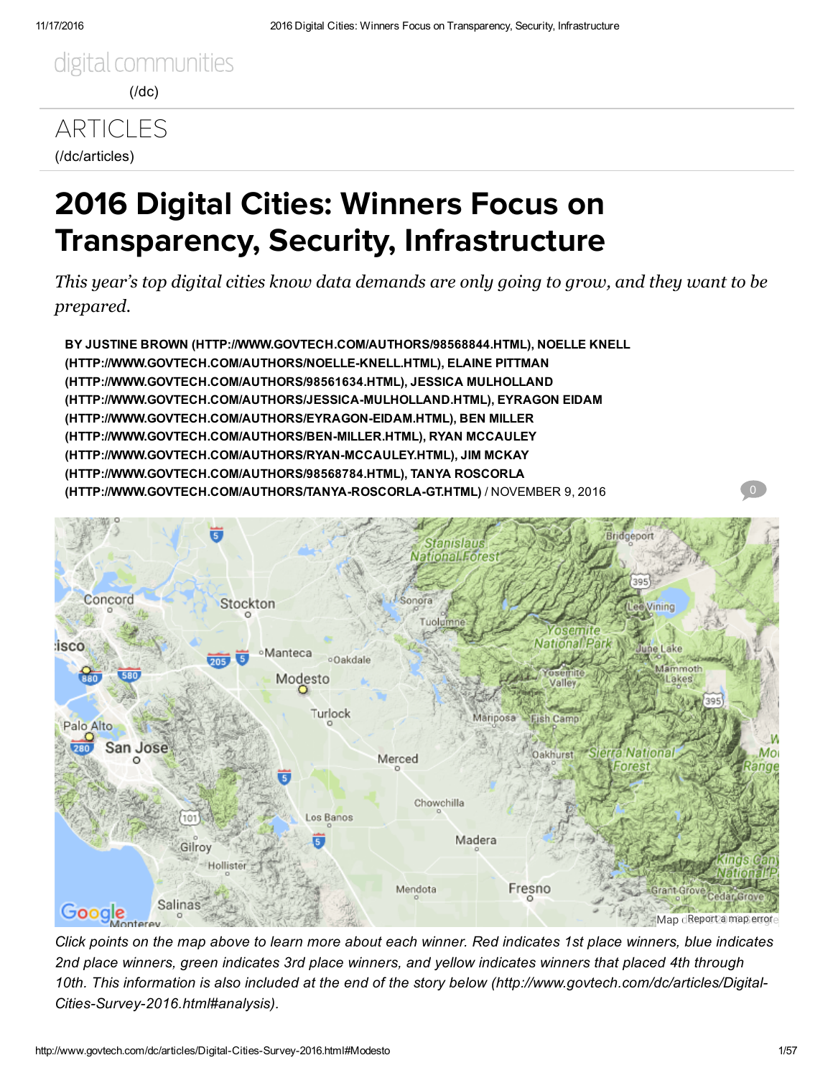# **[ARTICLES](http://www.govtech.com/dc/articles)** (/dc/articles)

# 2016 Digital Cities: Winners Focus on Transparency, Security, Infrastructure

*This year's top digital cities know data demands are only going to grow, and they want to be prepared.*

BY JUSTINE BROWN [\(HTTP://WWW.GOVTECH.COM/AUTHORS/98568844.HTML\)](http://www.govtech.com/authors/98568844.html), NOELLE KNELL [\(HTTP://WWW.GOVTECH.COM/AUTHORS/NOELLEKNELL.HTML\),](http://www.govtech.com/authors/Noelle-Knell.html) ELAINE PITTMAN (HTTP://WWW.GOVTECH.COM/AUTHORS/98561634.HTML), JESSICA MULHOLLAND [\(HTTP://WWW.GOVTECH.COM/AUTHORS/JESSICAMULHOLLAND.HTML\),](http://www.govtech.com/authors/Jessica-Mulholland.html) EYRAGON EIDAM (HTTP://WWW.GOVTECH.COM/AUTHORS/EYRAGON-EIDAM.HTML), BEN MILLER (HTTP://WWW.GOVTECH.COM/AUTHORS/BEN-MILLER.HTML), RYAN MCCAULEY (HTTP://WWW.GOVTECH.COM/AUTHORS/RYAN-MCCAULEY.HTML), JIM MCKAY (HTTP://WWW.GOVTECH.COM/AUTHORS/98568784.HTML), TANYA ROSCORLA (HTTP://WWW.GOVTECH.COM/AUTHORS/TANYA-ROSCORLA-GT.HTML) / NOVEMBER 9, 2016



Click points on the map above to learn more about each winner. Red indicates 1st place winners, blue indicates 2nd place winners, green indicates 3rd place winners, and yellow indicates winners that placed 4th through 10th. This information is also included at the end of the story below [\(http://www.govtech.com/dc/articles/Digital-](#page-1-0)Cities-Survey-2016.html#analysis).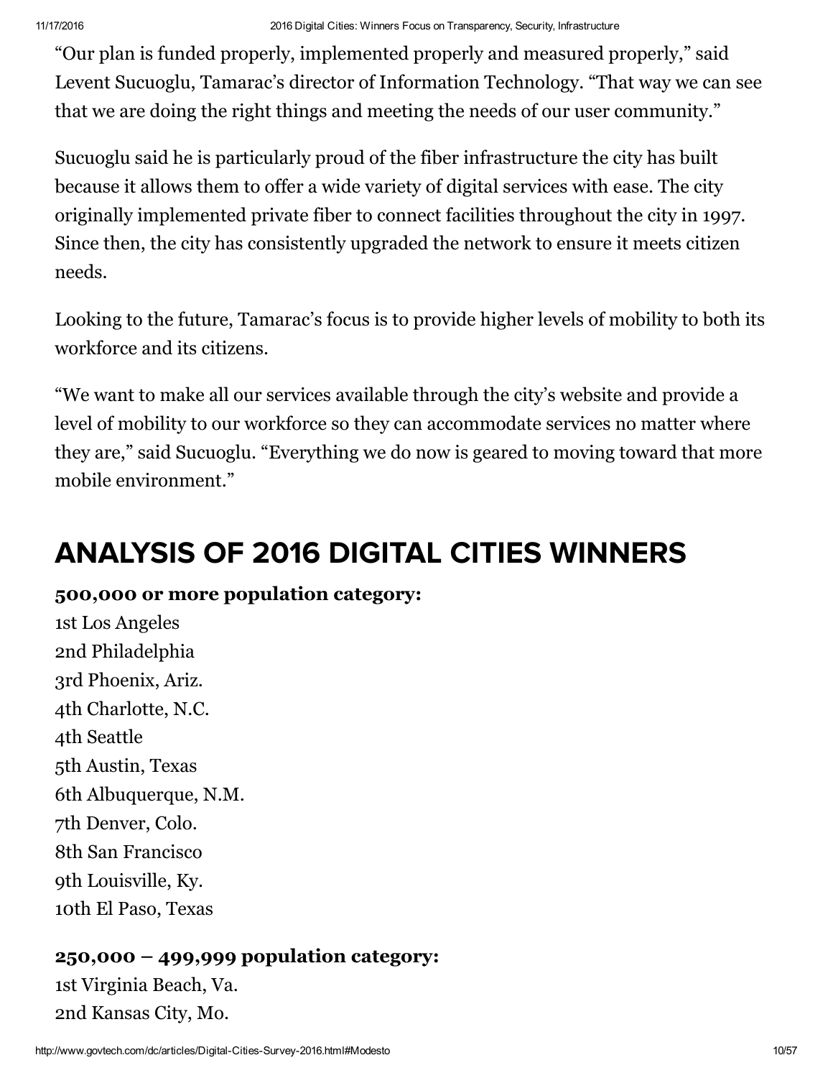"Our plan is funded properly, implemented properly and measured properly," said Levent Sucuoglu, Tamarac's director of Information Technology. "That way we can see that we are doing the right things and meeting the needs of our user community."

Sucuoglu said he is particularly proud of the fiber infrastructure the city has built because it allows them to offer a wide variety of digital services with ease. The city originally implemented private fiber to connect facilities throughout the city in 1997. Since then, the city has consistently upgraded the network to ensure it meets citizen needs.

Looking to the future, Tamarac's focus is to provide higher levels of mobility to both its workforce and its citizens.

"We want to make all our services available through the city's website and provide a level of mobility to our workforce so they can accommodate services no matter where they are," said Sucuoglu. "Everything we do now is geared to moving toward that more mobile environment."

# <span id="page-1-0"></span>ANALYSIS OF 2016 DIGITAL CITIES WINNERS

## 500,000 or more population category:

1st Los Angeles 2nd Philadelphia 3rd Phoenix, Ariz. 4th Charlotte, N.C. 4th Seattle 5th Austin, Texas 6th Albuquerque, N.M. 7th Denver, Colo. 8th San Francisco 9th Louisville, Ky. 10th El Paso, Texas

## 250,000 – 499,999 population category:

1st Virginia Beach, Va. 2nd Kansas City, Mo.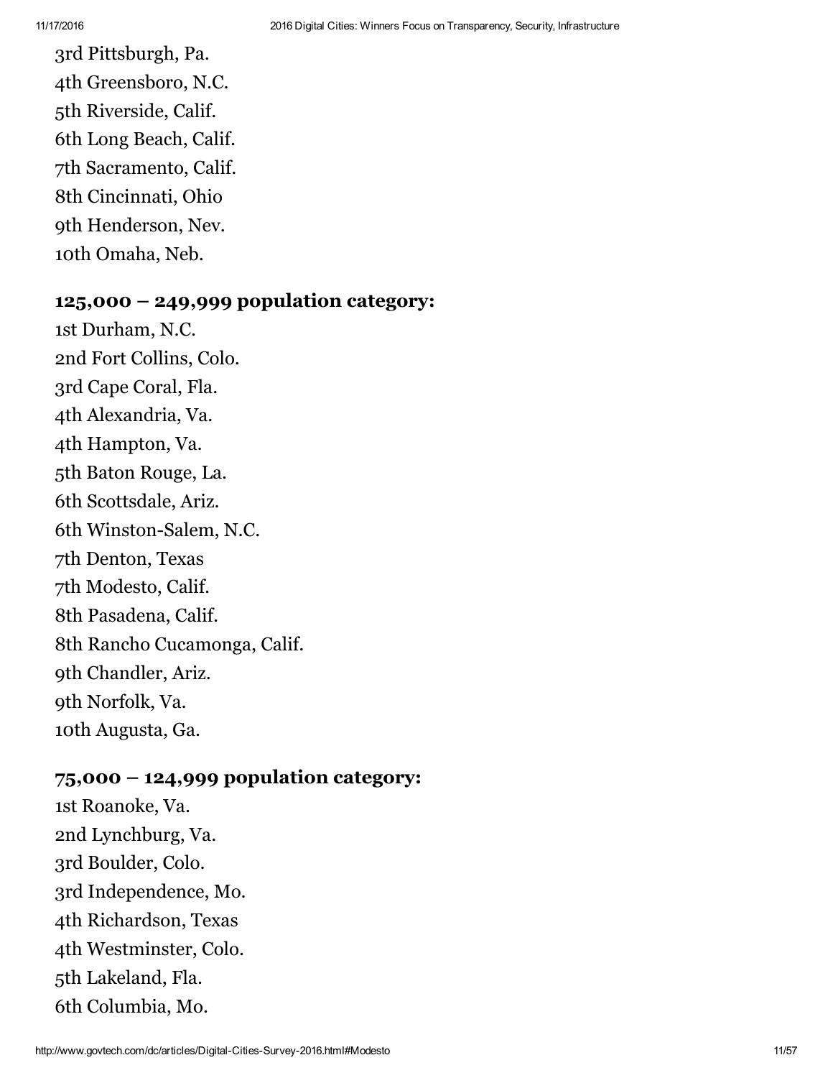3rd Pittsburgh, Pa. 4th Greensboro, N.C. 5th Riverside, Calif. 6th Long Beach, Calif. 7th Sacramento, Calif. 8th Cincinnati, Ohio 9th Henderson, Nev. 10th Omaha, Neb.

### 125,000 – 249,999 population category:

1st Durham, N.C. 2nd Fort Collins, Colo. 3rd Cape Coral, Fla. 4th Alexandria, Va. 4th Hampton, Va. 5th Baton Rouge, La. 6th Scottsdale, Ariz. 6th Winston-Salem, N.C. 7th [Denton,](#page-3-0) Texas 7th [Modesto,](#page-3-1) Calif. 8th [Pasadena,](#page-4-0) Calif. 8th Rancho [Cucamonga,](#page-4-1) Calif. 9th Chandler, Ariz. 9th Norfolk, Va. 10th Augusta, Ga.

#### 75,000 – 124,999 population category:

1st Roanoke, Va. 2nd Lynchburg, Va. 3rd Boulder, Colo. 3rd Independence, Mo. 4th Richardson, Texas 4th Westminster, Colo. 5th Lakeland, Fla. 6th Columbia, Mo.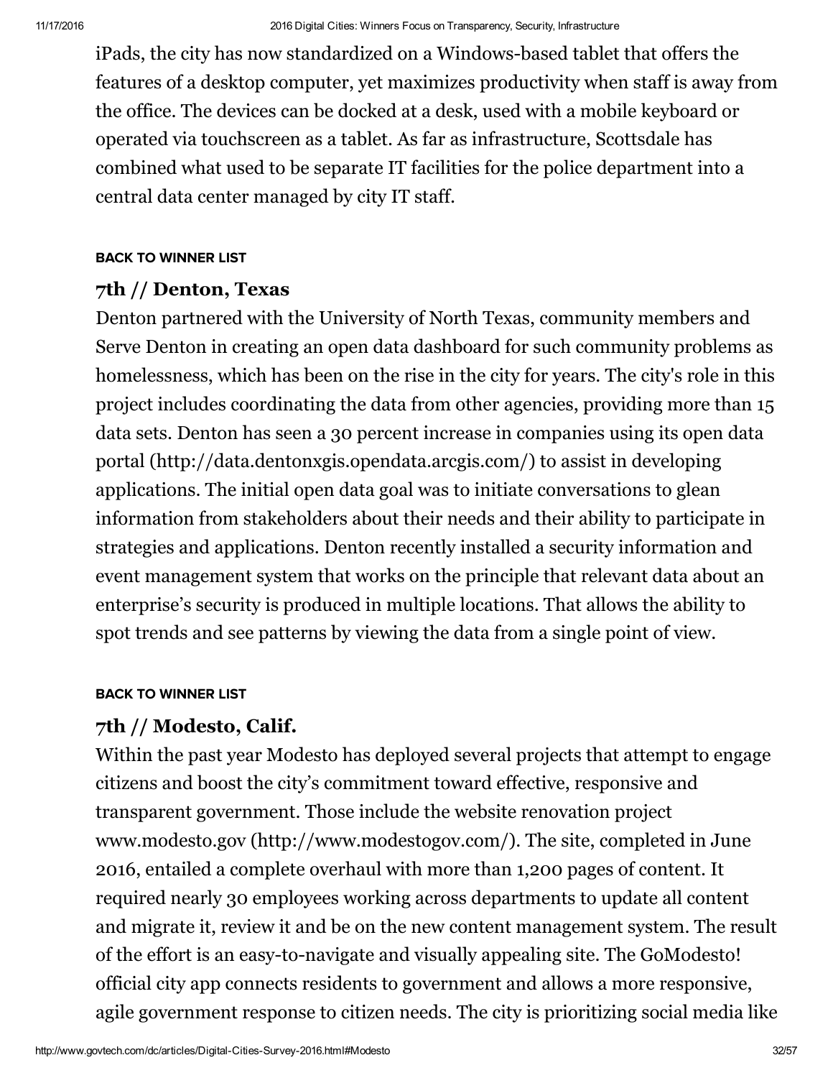iPads, the city has now standardized on a Windows-based tablet that offers the features of a desktop computer, yet maximizes productivity when staff is away from the office. The devices can be docked at a desk, used with a mobile keyboard or operated via touchscreen as a tablet. As far as infrastructure, Scottsdale has combined what used to be separate IT facilities for the police department into a central data center managed by city IT staff.

#### [BACK TO WINNER LIST](#page-1-0)

#### <span id="page-3-0"></span>7th // Denton, Texas

Denton partnered with the University of North Texas, community members and Serve Denton in creating an open data dashboard for such community problems as homelessness, which has been on the rise in the city for years. The city's role in this project includes coordinating the data from other agencies, providing more than 15 data sets. Denton has seen a 30 percent increase in companies using its open data portal [\(http://data.dentonxgis.opendata.arcgis.com/\)](http://data.dentonxgis.opendata.arcgis.com/) to assist in developing applications. The initial open data goal was to initiate conversations to glean information from stakeholders about their needs and their ability to participate in strategies and applications. Denton recently installed a security information and event management system that works on the principle that relevant data about an enterprise's security is produced in multiple locations. That allows the ability to spot trends and see patterns by viewing the data from a single point of view.

#### [BACK TO WINNER LIST](#page-1-0)

## <span id="page-3-1"></span>7th // Modesto, Calif.

Within the past year Modesto has deployed several projects that attempt to engage citizens and boost the city's commitment toward effective, responsive and transparent government. Those include the website renovation project www.modesto.gov [\(http://www.modestogov.com/\)](http://www.modestogov.com/). The site, completed in June 2016, entailed a complete overhaul with more than 1,200 pages of content. It required nearly 30 employees working across departments to update all content and migrate it, review it and be on the new content management system. The result of the effort is an easy-to-navigate and visually appealing site. The GoModesto! official city app connects residents to government and allows a more responsive, agile government response to citizen needs. The city is prioritizing social media like